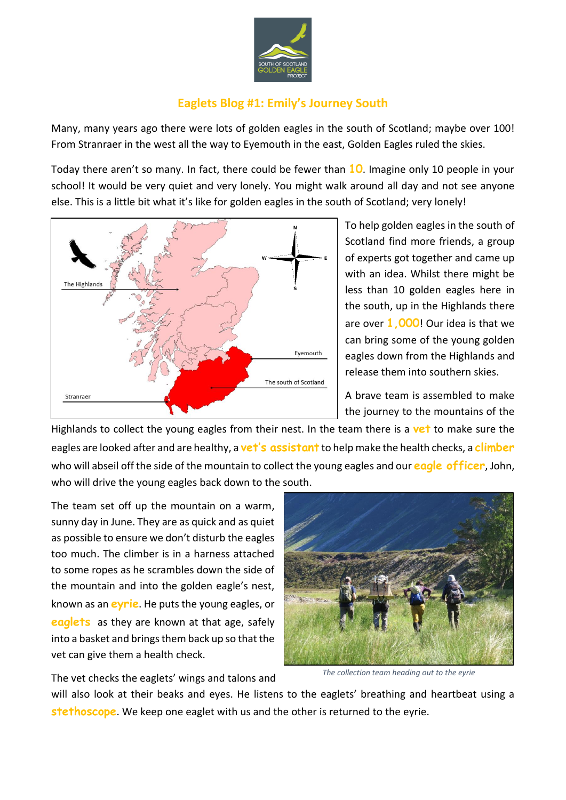

## **Eaglets Blog #1: Emily's Journey South**

Many, many years ago there were lots of golden eagles in the south of Scotland; maybe over 100! From Stranraer in the west all the way to Eyemouth in the east, Golden Eagles ruled the skies.

Today there aren't so many. In fact, there could be fewer than **10**. Imagine only 10 people in your school! It would be very quiet and very lonely. You might walk around all day and not see anyone else. This is a little bit what it's like for golden eagles in the south of Scotland; very lonely!



To help golden eagles in the south of Scotland find more friends, a group of experts got together and came up with an idea. Whilst there might be less than 10 golden eagles here in the south, up in the Highlands there are over **1,000**! Our idea is that we can bring some of the young golden eagles down from the Highlands and release them into southern skies.

A brave team is assembled to make the journey to the mountains of the

Highlands to collect the young eagles from their nest. In the team there is a **vet** to make sure the eagles are looked after and are healthy, a **vet's assistant** to help make the health checks, a **climber**  who will abseil off the side of the mountain to collect the young eagles and our **eagle officer**, John, who will drive the young eagles back down to the south.

The team set off up the mountain on a warm, sunny day in June. They are as quick and as quiet as possible to ensure we don't disturb the eagles too much. The climber is in a harness attached to some ropes as he scrambles down the side of the mountain and into the golden eagle's nest, known as an **eyrie**. He puts the young eagles, or **eaglets** as they are known at that age, safely into a basket and brings them back up so that the vet can give them a health check.

The vet checks the eaglets' wings and talons and



*The collection team heading out to the eyrie* 

will also look at their beaks and eyes. He listens to the eaglets' breathing and heartbeat using a **stethoscope**. We keep one eaglet with us and the other is returned to the eyrie.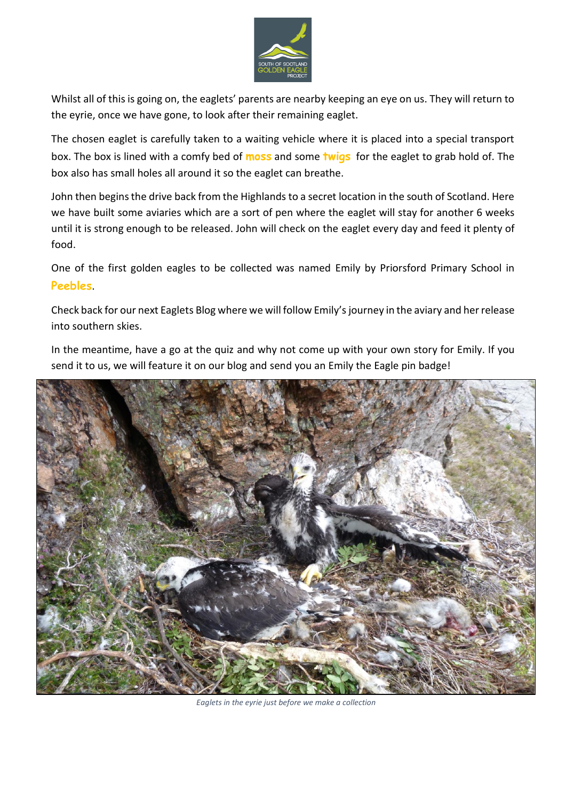

Whilst all of this is going on, the eaglets' parents are nearby keeping an eye on us. They will return to the eyrie, once we have gone, to look after their remaining eaglet.

The chosen eaglet is carefully taken to a waiting vehicle where it is placed into a special transport box. The box is lined with a comfy bed of **moss** and some **twigs** for the eaglet to grab hold of. The box also has small holes all around it so the eaglet can breathe.

John then begins the drive back from the Highlands to a secret location in the south of Scotland. Here we have built some aviaries which are a sort of pen where the eaglet will stay for another 6 weeks until it is strong enough to be released. John will check on the eaglet every day and feed it plenty of food.

One of the first golden eagles to be collected was named Emily by Priorsford Primary School in **Peebles**.

Check back for our next Eaglets Blog where we will follow Emily's journey in the aviary and her release into southern skies.

In the meantime, have a go at the quiz and why not come up with your own story for Emily. If you send it to us, we will feature it on our blog and send you an Emily the Eagle pin badge!



*Eaglets in the eyrie just before we make a collection*